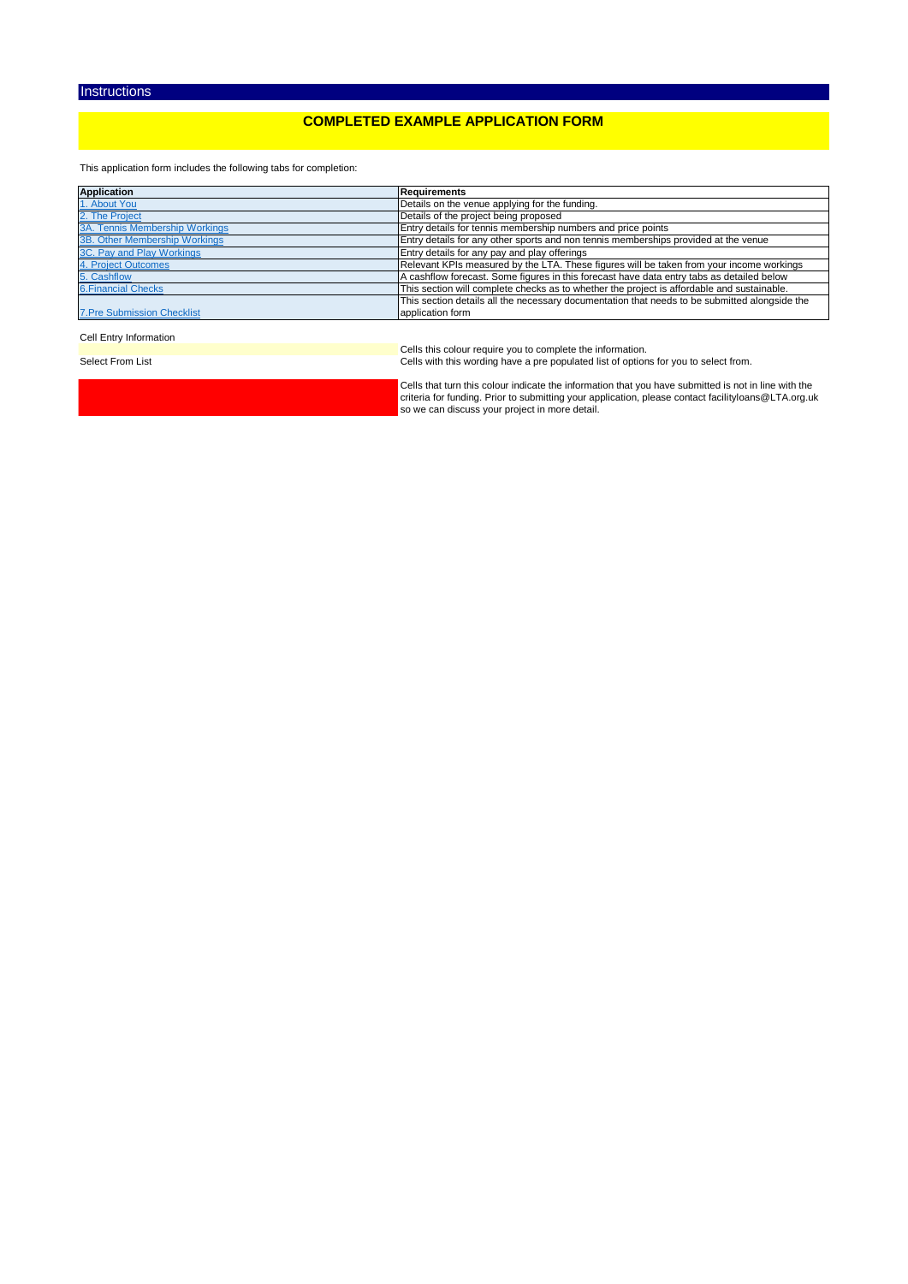## **COMPLETED EXAMPLE APPLICATION FORM**

This application form includes the following tabs for completion:

| <b>Application</b>                | Requirements                                                                                  |
|-----------------------------------|-----------------------------------------------------------------------------------------------|
| 1. About You                      | Details on the venue applying for the funding.                                                |
| 2. The Project                    | Details of the project being proposed                                                         |
| 3A. Tennis Membership Workings    | Entry details for tennis membership numbers and price points                                  |
| 3B. Other Membership Workings     | Entry details for any other sports and non tennis memberships provided at the venue           |
| 3C. Pay and Play Workings         | Entry details for any pay and play offerings                                                  |
| 4. Project Outcomes               | Relevant KPIs measured by the LTA. These figures will be taken from your income workings      |
| 5. Cashflow                       | A cashflow forecast. Some figures in this forecast have data entry tabs as detailed below     |
| <b>6. Financial Checks</b>        | This section will complete checks as to whether the project is affordable and sustainable.    |
|                                   | This section details all the necessary documentation that needs to be submitted alongside the |
| <b>7.Pre Submission Checklist</b> | application form                                                                              |

#### Cell Entry Information

Cells this colour require you to complete the information.<br>Cells with this wording have a pre populated list of options for you to select from.

Cells that turn this colour indicate the information that you have submitted is not in line with the criteria for funding. Prior to submitting your application, please contact facilityloans@LTA.org.uk so we can discuss your project in more detail.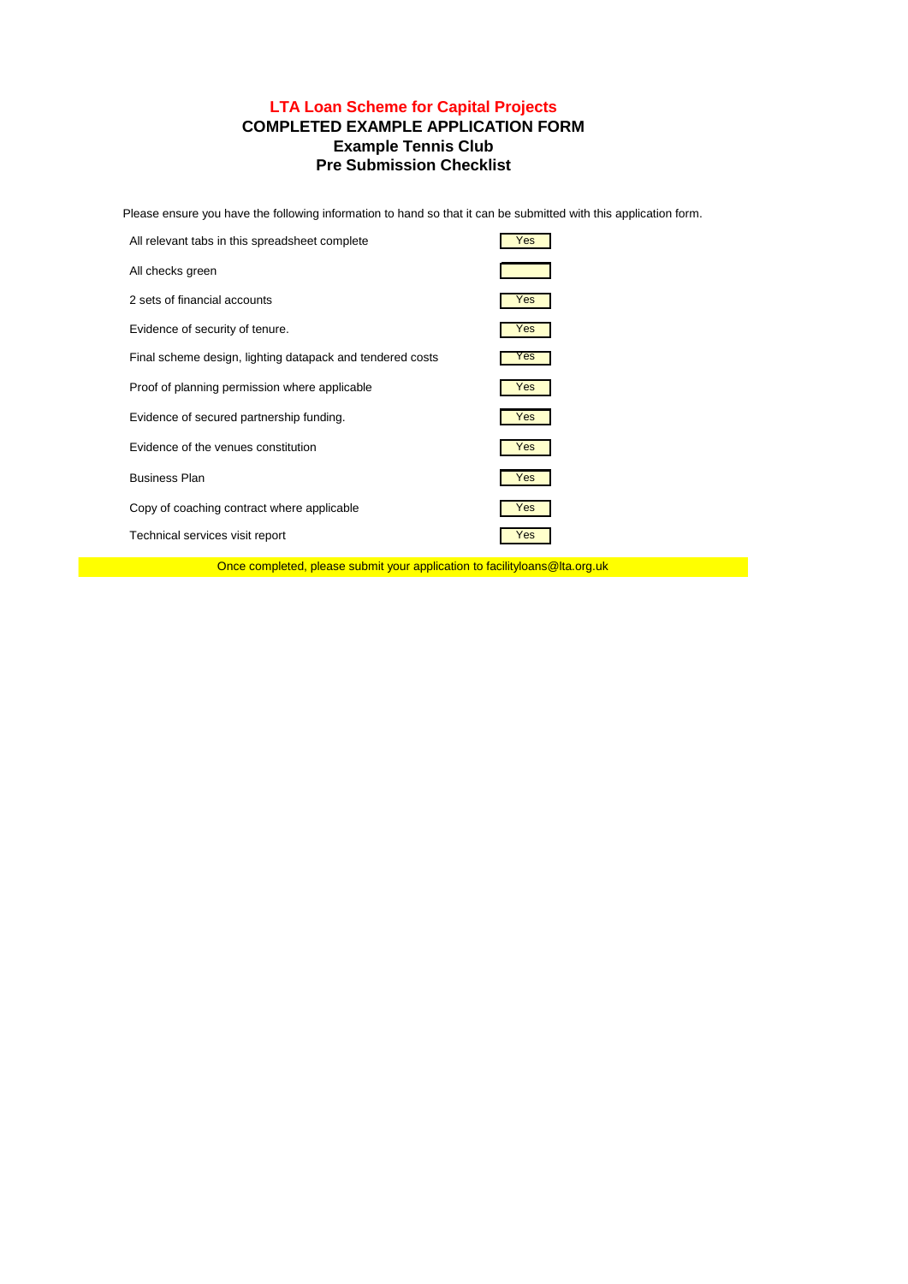## **Example Tennis Club Pre Submission Checklist LTA Loan Scheme for Capital Projects COMPLETED EXAMPLE APPLICATION FORM**

Please ensure you have the following information to hand so that it can be submitted with this application form.

| All relevant tabs in this spreadsheet complete            | Yes |
|-----------------------------------------------------------|-----|
| All checks green                                          |     |
| 2 sets of financial accounts                              | Yes |
| Evidence of security of tenure.                           | Yes |
| Final scheme design, lighting datapack and tendered costs | Yes |
| Proof of planning permission where applicable             | Yes |
| Evidence of secured partnership funding.                  | Yes |
| Evidence of the venues constitution                       | Yes |
| <b>Business Plan</b>                                      | Yes |
| Copy of coaching contract where applicable                | Yes |
| Technical services visit report                           | Yes |

Once completed, please submit your application to facilityloans@lta.org.uk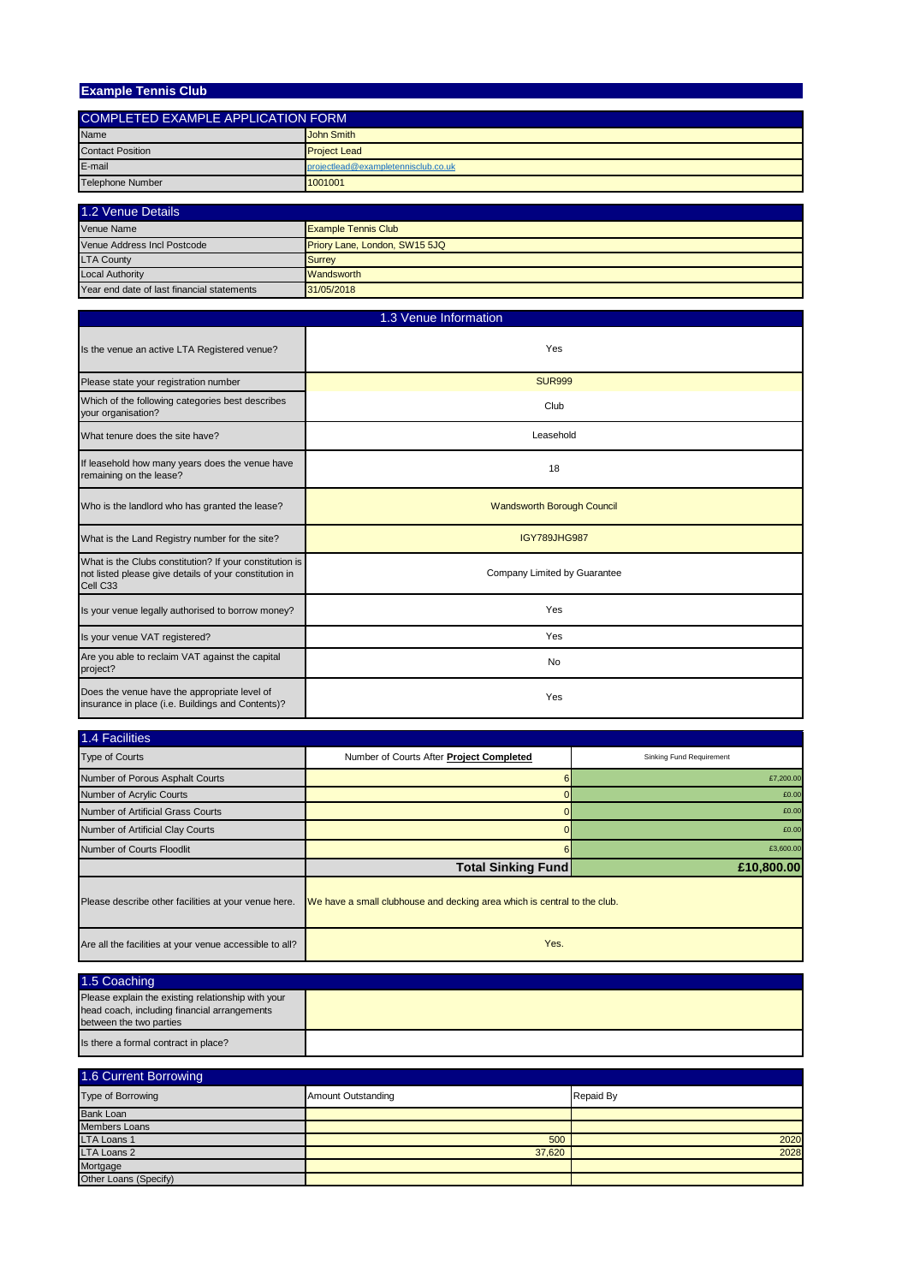| <b>Example Tennis Club</b>                |                                     |
|-------------------------------------------|-------------------------------------|
|                                           |                                     |
| <b>COMPLETED EXAMPLE APPLICATION FORM</b> |                                     |
| Name                                      | John Smith                          |
| <b>Contact Position</b>                   | <b>Project Lead</b>                 |
| E-mail                                    | projectlead@exampletennisclub.co.uk |
| Telephone Number                          | 1001001                             |
|                                           |                                     |

| 1.2 Venue Details                          |                               |
|--------------------------------------------|-------------------------------|
| Venue Name                                 | <b>Example Tennis Club</b>    |
| Venue Address Incl Postcode                | Priory Lane, London, SW15 5JQ |
| <b>LTA County</b>                          | <b>Surrey</b>                 |
| <b>Local Authority</b>                     | <b>Wandsworth</b>             |
| Year end date of last financial statements | 31/05/2018                    |

| 1.3 Venue Information                                                                                                         |                                   |
|-------------------------------------------------------------------------------------------------------------------------------|-----------------------------------|
| Is the venue an active LTA Registered venue?                                                                                  | Yes                               |
| Please state your registration number                                                                                         | <b>SUR999</b>                     |
| Which of the following categories best describes<br>your organisation?                                                        | Club                              |
| What tenure does the site have?                                                                                               | Leasehold                         |
| If leasehold how many years does the venue have<br>remaining on the lease?                                                    | 18                                |
| Who is the landlord who has granted the lease?                                                                                | <b>Wandsworth Borough Council</b> |
| What is the Land Registry number for the site?                                                                                | <b>IGY789JHG987</b>               |
| What is the Clubs constitution? If your constitution is<br>not listed please give details of your constitution in<br>Cell C33 | Company Limited by Guarantee      |
| Is your venue legally authorised to borrow money?                                                                             | Yes                               |
| Is your venue VAT registered?                                                                                                 | Yes                               |
| Are you able to reclaim VAT against the capital<br>project?                                                                   | <b>No</b>                         |
| Does the venue have the appropriate level of<br>insurance in place (i.e. Buildings and Contents)?                             | Yes                               |

| 1.4 Facilities                                          |                                                                          |                          |
|---------------------------------------------------------|--------------------------------------------------------------------------|--------------------------|
| <b>Type of Courts</b>                                   | Number of Courts After Project Completed                                 | Sinking Fund Requirement |
| Number of Porous Asphalt Courts                         |                                                                          | £7,200.00                |
| Number of Acrylic Courts                                |                                                                          | £0.00                    |
| Number of Artificial Grass Courts                       |                                                                          | £0.00                    |
| Number of Artificial Clay Courts                        |                                                                          | £0.00                    |
| Number of Courts Floodlit                               |                                                                          | £3,600.00                |
|                                                         | <b>Total Sinking Fund</b>                                                | £10,800.00               |
| Please describe other facilities at your venue here.    | We have a small clubhouse and decking area which is central to the club. |                          |
| Are all the facilities at your venue accessible to all? | Yes.                                                                     |                          |

| 1.5 Coaching                                                                                                                  |  |
|-------------------------------------------------------------------------------------------------------------------------------|--|
| Please explain the existing relationship with your<br>head coach, including financial arrangements<br>between the two parties |  |
| Is there a formal contract in place?                                                                                          |  |

| 1.6 Current Borrowing |                           |           |
|-----------------------|---------------------------|-----------|
| Type of Borrowing     | <b>Amount Outstanding</b> | Repaid By |
| <b>Bank Loan</b>      |                           |           |
| Members Loans         |                           |           |
| <b>LTA Loans 1</b>    | 500                       | 2020      |
| <b>LTA Loans 2</b>    | 37,620                    | 2028      |
| Mortgage              |                           |           |
| Other Loans (Specify) |                           |           |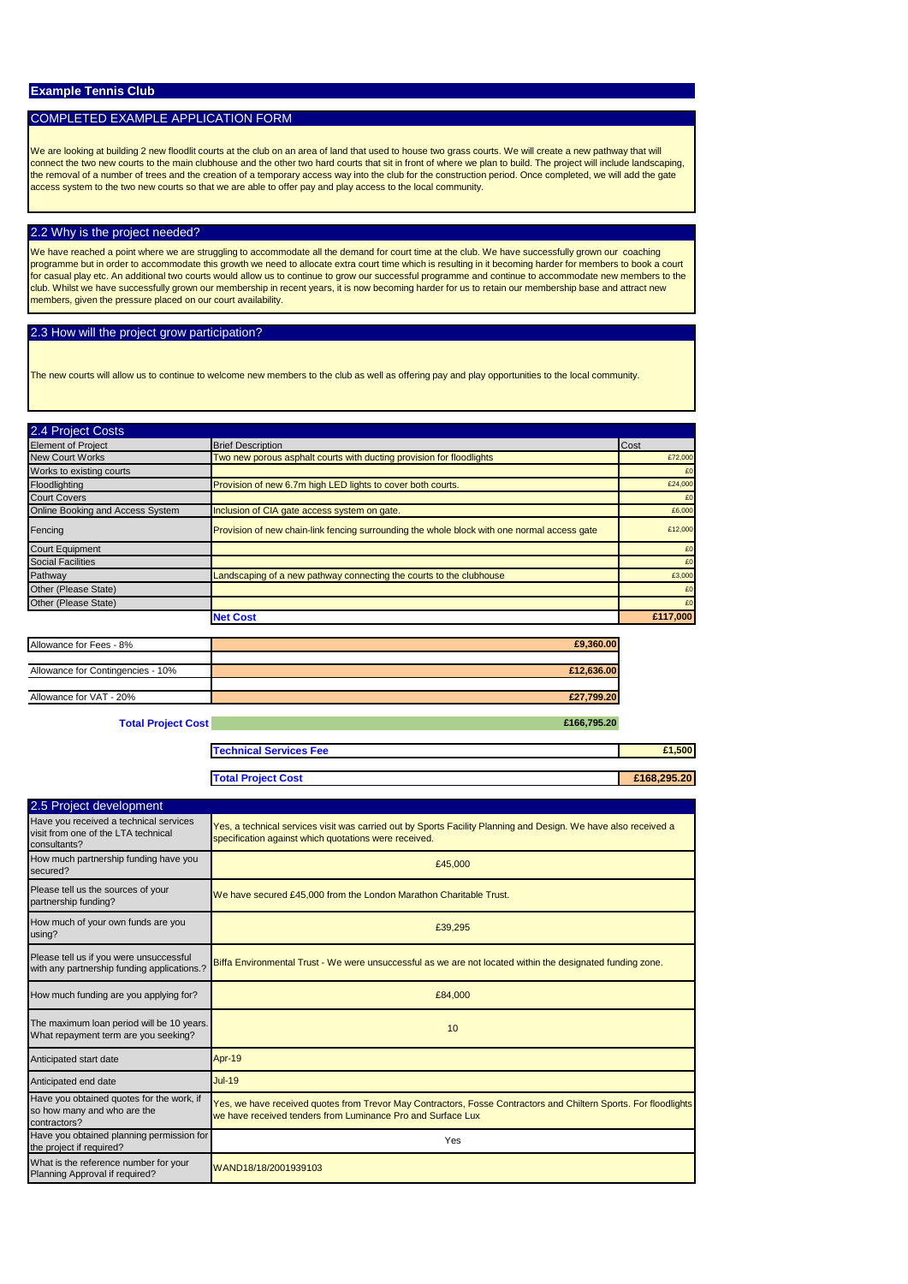#### COMPLETED EXAMPLE APPLICATION FORM

We are looking at building 2 new floodlit courts at the club on an area of land that used to house two grass courts. We will create a new pathway that will connect the two new courts to the main clubhouse and the other two hard courts that sit in front of where we plan to build. The project will include landscaping,<br>the removal of a number of trees and the creation of a tempo access system to the two new courts so that we are able to offer pay and play access to the local community.

#### 2.2 Why is the project needed?

We have reached a point where we are struggling to accommodate all the demand for court time at the club. We have successfully grown our coaching programme but in order to accommodate this growth we need to allocate extra court time which is resulting in it becoming harder for members to book a court for casual play etc. An additional two courts would allow us to continue to grow our successful programme and continue to accommodate new members to the<br>club. Whilst we have successfully grown our membership in recent year

#### 2.3 How will the project grow participation?

The new courts will allow us to continue to welcome new members to the club as well as offering pay and play opportunities to the local community.

| 2.4 Project Costs                |                                                                                             |          |
|----------------------------------|---------------------------------------------------------------------------------------------|----------|
| <b>Element of Project</b>        | <b>Brief Description</b>                                                                    | Cost     |
| <b>New Court Works</b>           | Two new porous asphalt courts with ducting provision for floodlights                        | £72,000  |
| Works to existing courts         |                                                                                             | £0       |
| Floodlighting                    | Provision of new 6.7m high LED lights to cover both courts.                                 | £24,000  |
| <b>Court Covers</b>              |                                                                                             | £0       |
| Online Booking and Access System | Inclusion of CIA gate access system on gate.                                                | £6,000   |
| Fencing                          | Provision of new chain-link fencing surrounding the whole block with one normal access gate | £12,000  |
| <b>Court Equipment</b>           |                                                                                             | £0       |
| <b>Social Facilities</b>         |                                                                                             | £0       |
| Pathway                          | Landscaping of a new pathway connecting the courts to the clubhouse                         | £3,000   |
| Other (Please State)             |                                                                                             | £0       |
| Other (Please State)             |                                                                                             | £0       |
|                                  | <b>Net Cost</b>                                                                             | £117.000 |

| Allowance for Fees - 8%           | £9,360.00  |
|-----------------------------------|------------|
|                                   |            |
| Allowance for Contingencies - 10% | £12,636.00 |
|                                   |            |
| Allowance for VAT - 20%           | £27,799.20 |
|                                   |            |

**Total Project Cost** *£166,795.20* **<b>£166,795.20** 

**Technical Services Fee £1,500**

| <b>Total Project Cost</b> | £168,295,20 |
|---------------------------|-------------|

| 2.5 Project development                                                                       |                                                                                                                                                                                 |  |
|-----------------------------------------------------------------------------------------------|---------------------------------------------------------------------------------------------------------------------------------------------------------------------------------|--|
| Have you received a technical services<br>visit from one of the LTA technical<br>consultants? | Yes, a technical services visit was carried out by Sports Facility Planning and Design. We have also received a<br>specification against which quotations were received.        |  |
| How much partnership funding have you<br>secured?                                             | £45,000                                                                                                                                                                         |  |
| Please tell us the sources of your<br>partnership funding?                                    | We have secured £45,000 from the London Marathon Charitable Trust.                                                                                                              |  |
| How much of your own funds are you<br>using?                                                  | £39,295                                                                                                                                                                         |  |
| Please tell us if you were unsuccessful<br>with any partnership funding applications.?        | Biffa Environmental Trust - We were unsuccessful as we are not located within the designated funding zone.                                                                      |  |
| How much funding are you applying for?                                                        | £84,000                                                                                                                                                                         |  |
| The maximum loan period will be 10 years.<br>What repayment term are you seeking?             | 10                                                                                                                                                                              |  |
| Anticipated start date                                                                        | Apr-19                                                                                                                                                                          |  |
| Anticipated end date                                                                          | <b>Jul-19</b>                                                                                                                                                                   |  |
| Have you obtained quotes for the work, if<br>so how many and who are the<br>contractors?      | Yes, we have received quotes from Trevor May Contractors, Fosse Contractors and Chiltern Sports. For floodlights<br>we have received tenders from Luminance Pro and Surface Lux |  |
| Have you obtained planning permission for<br>the project if required?                         | Yes                                                                                                                                                                             |  |
| What is the reference number for your<br>Planning Approval if required?                       | WAND18/18/2001939103                                                                                                                                                            |  |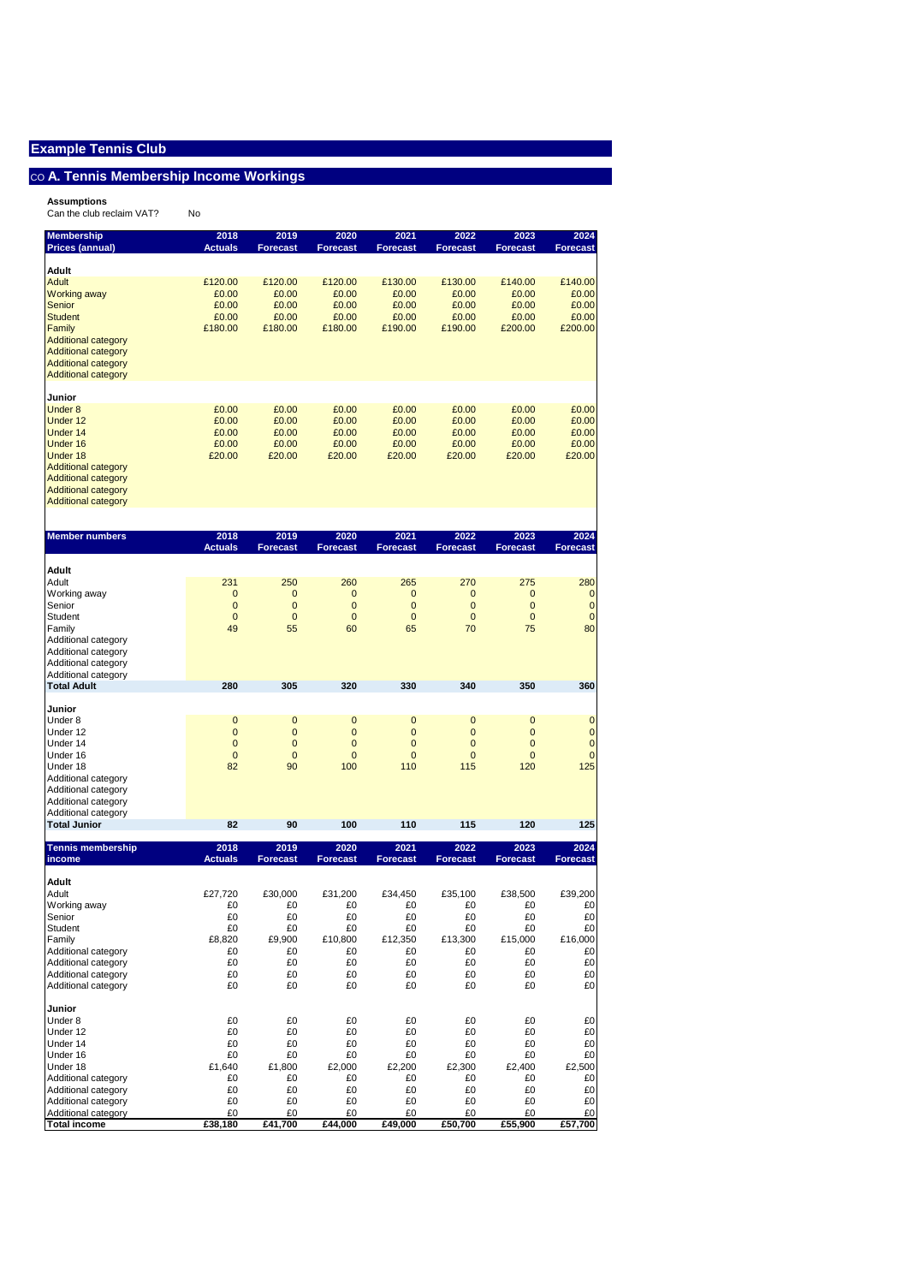## $\overline{\text{co}}$  A. Tennis Membership Income Workings

**Assumptions** Can the club reclaim VAT? No

| <b>Membership</b>                          | 2018<br><b>Actuals</b> | 2019<br><b>Forecast</b> | 2020<br><b>Forecast</b> | 2021<br><b>Forecast</b> | 2022<br><b>Forecast</b> | 2023<br><b>Forecast</b> | 2024<br><b>Forecast</b> |
|--------------------------------------------|------------------------|-------------------------|-------------------------|-------------------------|-------------------------|-------------------------|-------------------------|
| <b>Prices (annual)</b>                     |                        |                         |                         |                         |                         |                         |                         |
| Adult                                      |                        |                         |                         |                         |                         |                         |                         |
| <b>Adult</b>                               | £120.00                | £120.00                 | £120.00                 | £130.00                 | £130.00                 | £140.00                 | £140.00                 |
| <b>Working away</b>                        | £0.00                  | £0.00                   | £0.00                   | £0.00                   | £0.00                   | £0.00                   | £0.00                   |
| Senior                                     | £0.00                  | £0.00                   | £0.00                   | £0.00                   | £0.00                   | £0.00                   | £0.00                   |
| <b>Student</b><br>Family                   | £0.00                  | £0.00                   | £0.00<br>£180.00        | £0.00                   | £0.00<br>£190.00        | £0.00                   | £0.00                   |
| <b>Additional category</b>                 | £180.00                | £180.00                 |                         | £190.00                 |                         | £200.00                 | £200.00                 |
| <b>Additional category</b>                 |                        |                         |                         |                         |                         |                         |                         |
| <b>Additional category</b>                 |                        |                         |                         |                         |                         |                         |                         |
| <b>Additional category</b>                 |                        |                         |                         |                         |                         |                         |                         |
|                                            |                        |                         |                         |                         |                         |                         |                         |
| Junior                                     |                        |                         |                         |                         |                         |                         |                         |
| <b>Under 8</b><br>Under 12                 | £0.00<br>£0.00         | £0.00<br>£0.00          | £0.00<br>£0.00          | £0.00<br>£0.00          | £0.00<br>£0.00          | £0.00<br>£0.00          | £0.00<br>£0.00          |
| Under 14                                   | £0.00                  | £0.00                   | £0.00                   | £0.00                   | £0.00                   | £0.00                   | £0.00                   |
| Under 16                                   | £0.00                  | £0.00                   | £0.00                   | £0.00                   | £0.00                   | £0.00                   | £0.00                   |
| Under 18                                   | £20.00                 | £20.00                  | £20.00                  | £20.00                  | £20.00                  | £20.00                  | £20.00                  |
| <b>Additional category</b>                 |                        |                         |                         |                         |                         |                         |                         |
| <b>Additional category</b>                 |                        |                         |                         |                         |                         |                         |                         |
| <b>Additional category</b>                 |                        |                         |                         |                         |                         |                         |                         |
| <b>Additional category</b>                 |                        |                         |                         |                         |                         |                         |                         |
|                                            |                        |                         |                         |                         |                         |                         |                         |
| <b>Member numbers</b>                      | 2018<br><b>Actuals</b> | 2019                    | 2020                    | 2021<br><b>Forecast</b> | 2022                    | 2023<br><b>Forecast</b> | 2024                    |
|                                            |                        | <b>Forecast</b>         | <b>Forecast</b>         |                         | <b>Forecast</b>         |                         | <b>Forecast</b>         |
| Adult                                      |                        |                         |                         |                         |                         |                         |                         |
| Adult                                      | 231                    | 250                     | 260                     | 265                     | 270                     | 275                     | 280                     |
| Working away                               | $\mathbf 0$            | 0                       | 0                       | $\mathbf{0}$            | 0                       | $\mathbf{0}$            | 0                       |
| Senior                                     | $\mathbf 0$            | $\mathbf 0$             | $\mathbf 0$             | $\mathbf{0}$            | $\mathbf 0$             | $\mathbf{0}$            | $\mathbf 0$             |
| Student                                    | $\mathbf 0$            | $\mathbf 0$             | $\mathbf 0$             | $\mathbf{0}$            | $\mathbf 0$             | $\mathbf{0}$            | $\mathbf{0}$            |
| Family<br>Additional category              | 49                     | 55                      | 60                      | 65                      | 70                      | 75                      | 80                      |
| Additional category                        |                        |                         |                         |                         |                         |                         |                         |
| Additional category                        |                        |                         |                         |                         |                         |                         |                         |
| Additional category                        |                        |                         |                         |                         |                         |                         |                         |
| <b>Total Adult</b>                         | 280                    | 305                     | 320                     | 330                     | 340                     | 350                     | 360                     |
|                                            |                        |                         |                         |                         |                         |                         |                         |
|                                            |                        |                         |                         |                         |                         |                         |                         |
| Junior<br>Under 8                          | $\mathbf{0}$           | $\mathbf 0$             | 0                       | $\mathbf 0$             | $\mathbf 0$             | $\mathbf 0$             | $\mathbf 0$             |
| Under 12                                   | $\mathbf 0$            | $\mathbf 0$             | $\overline{0}$          | $\mathbf 0$             | $\mathbf 0$             | $\mathbf{0}$            | $\mathbf 0$             |
| Under 14                                   | $\mathbf 0$            | $\mathbf 0$             | 0                       | $\mathbf 0$             | $\mathbf 0$             | $\overline{0}$          | $\mathbf 0$             |
| Under 16                                   | $\overline{0}$         | $\overline{0}$          | $\overline{0}$          | $\overline{0}$          | $\overline{0}$          | $\overline{0}$          | $\mathbf 0$             |
| Under 18                                   | 82                     | 90                      | 100                     | 110                     | 115                     | 120                     | 125                     |
| Additional category                        |                        |                         |                         |                         |                         |                         |                         |
| Additional category                        |                        |                         |                         |                         |                         |                         |                         |
| Additional category                        |                        |                         |                         |                         |                         |                         |                         |
| Additional category<br><b>Total Junior</b> | 82                     | 90                      | 100                     | 110                     | 115                     | 120                     | 125                     |
|                                            |                        |                         |                         |                         |                         |                         |                         |
| <b>Tennis membership</b><br>income         | 2018<br><b>Actuals</b> | 2019<br><b>Forecast</b> | 2020<br><b>Forecast</b> | 2021<br><b>Forecast</b> | 2022<br><b>Forecast</b> | 2023<br><b>Forecast</b> | 2024<br><b>Forecast</b> |
|                                            |                        |                         |                         |                         |                         |                         |                         |
| Adult<br>Adult                             | £27,720                | £30,000                 | £31,200                 | £34,450                 | £35,100                 | £38,500                 | £39,200                 |
| Working away                               | £0                     | £0                      | £0                      | £0                      | £0                      | £0                      | £0                      |
| Senior                                     | £0                     | £0                      | £0                      | £0                      | £0                      | £0                      | £0                      |
| Student                                    | £0                     | £0                      | £0                      | £0                      | £0                      | £0                      | £0                      |
| Family                                     | £8,820                 | £9,900                  | £10,800                 | £12,350                 | £13,300                 | £15,000                 | £16,000                 |
| Additional category                        | £0                     | £0                      | £0                      | £0                      | £0                      | £0                      | £0                      |
| Additional category                        | £0                     | £0                      | £0                      | £0                      | £0                      | £0                      | £0                      |
| Additional category<br>Additional category | £0<br>£0               | £0<br>£0                | £0<br>£0                | £0<br>£0                | £0<br>£0                | £0<br>£0                | £0<br>£0                |
|                                            |                        |                         |                         |                         |                         |                         |                         |
| Junior<br>Under 8                          | £0                     | £0                      | £0                      | £0                      | £0                      | £0                      |                         |
| Under 12                                   | £0                     | £0                      | £0                      | £0                      | £0                      | £0                      | £0<br>£0                |
| Under 14                                   | £0                     | £0                      | £0                      | £0                      | £0                      | £0                      | £0                      |
| Under 16                                   | £0                     | £0                      | £0                      | £0                      | £0                      | £0                      | £0                      |
| Under 18                                   | £1,640                 | £1,800                  | £2,000                  | £2,200                  | £2,300                  | £2,400                  | £2,500                  |
| Additional category                        | £0                     | £0                      | £0                      | £0                      | £0                      | £0                      | £0                      |
| Additional category                        | £0                     | £0                      | £0                      | £0                      | £0                      | £0                      | £0                      |
| Additional category<br>Additional category | £0<br>£0               | £0<br>£0                | £0<br>£0                | £0<br>£0                | £0<br>£0                | £0<br>£0                | £0<br>£0                |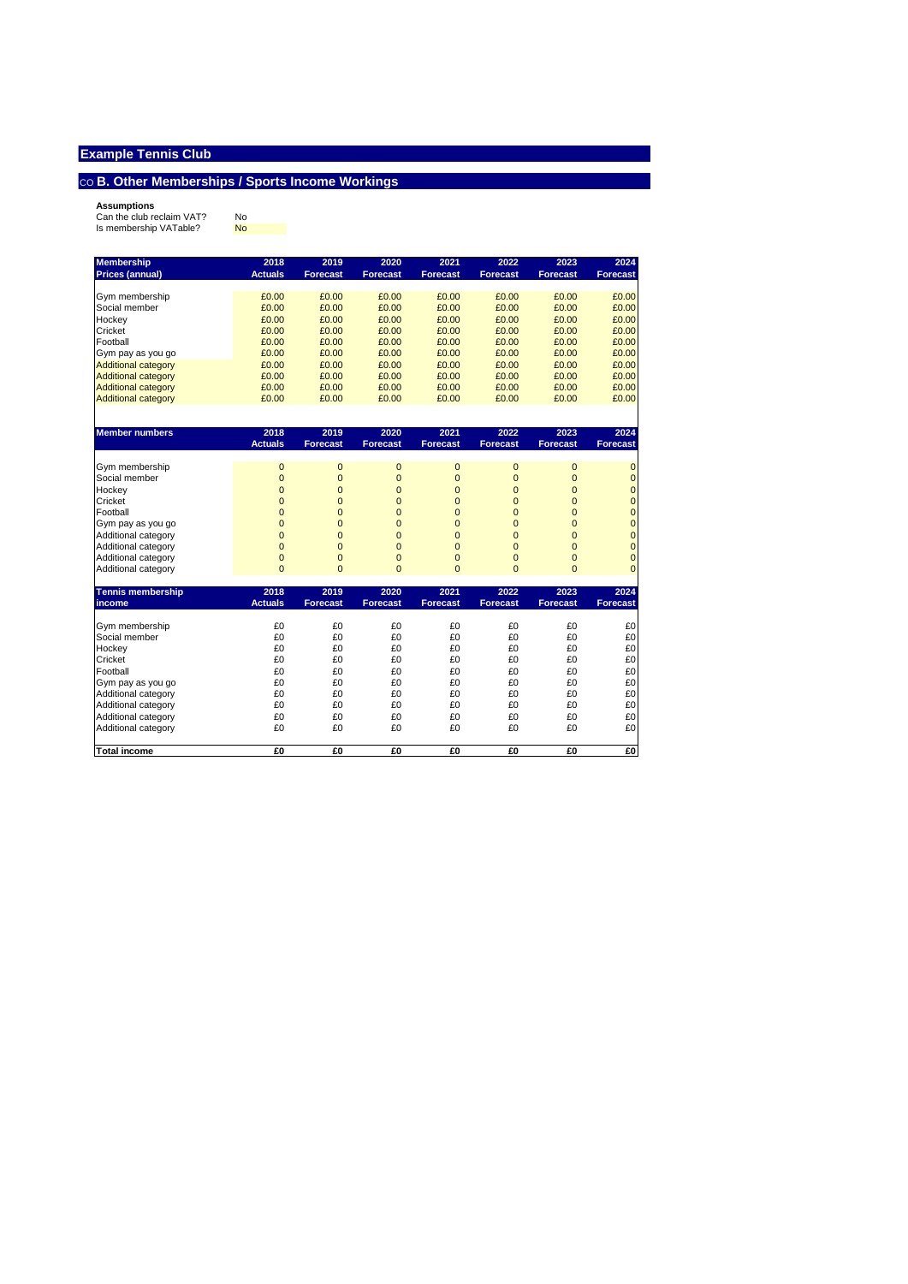## $\cos B$ . Other Memberships / Sports Income Workings

**Assumptions**<br>Can the club reclaim VAT? No<br>Is membership VATable? <mark>No</mark>

| <b>Membership</b>          | 2018           | 2019            | 2020            | 2021            | 2022            | 2023            | 2024            |
|----------------------------|----------------|-----------------|-----------------|-----------------|-----------------|-----------------|-----------------|
| <b>Prices (annual)</b>     | <b>Actuals</b> | <b>Forecast</b> | <b>Forecast</b> | <b>Forecast</b> | <b>Forecast</b> | <b>Forecast</b> | <b>Forecast</b> |
|                            |                |                 |                 |                 |                 |                 |                 |
| Gym membership             | £0.00          | £0.00           | £0.00           | £0.00           | £0.00           | £0.00           | £0.00           |
| Social member              | £0.00          | £0.00           | £0.00           | £0.00           | £0.00           | £0.00           | £0.00           |
| Hockey                     | £0.00          | £0.00           | £0.00           | £0.00           | £0.00           | £0.00           | £0.00           |
| Cricket                    | £0.00          | £0.00           | £0.00           | £0.00           | £0.00           | £0.00           | £0.00           |
| Football                   | £0.00          | £0.00           | £0.00           | £0.00           | £0.00           | £0.00           | £0.00           |
| Gym pay as you go          | £0.00          | £0.00           | £0.00           | £0.00           | £0.00           | £0.00           | £0.00           |
| <b>Additional category</b> | £0.00          | £0.00           | £0.00           | £0.00           | £0.00           | £0.00           | £0.00           |
| <b>Additional category</b> | £0.00          | £0.00           | £0.00           | £0.00           | £0.00           | £0.00           | £0.00           |
| <b>Additional category</b> | £0.00          | £0.00           | £0.00           | £0.00           | £0.00           | £0.00           | £0.00           |
| <b>Additional category</b> | £0.00          | £0.00           | £0.00           | £0.00           | £0.00           | £0.00           | £0.00           |
|                            |                |                 |                 |                 |                 |                 |                 |
| <b>Member numbers</b>      | 2018           | 2019            | 2020            | 2021            | 2022            | 2023            | 2024            |
|                            | <b>Actuals</b> | <b>Forecast</b> | <b>Forecast</b> | <b>Forecast</b> | <b>Forecast</b> | <b>Forecast</b> | <b>Forecast</b> |
|                            |                |                 |                 |                 |                 |                 |                 |
| Gym membership             | $\mathbf 0$    | $\mathbf{0}$    | $\mathbf 0$     | $\mathbf{0}$    | $\mathbf 0$     | $\mathbf 0$     | $\mathbf 0$     |
| Social member              | $\mathbf 0$    | $\mathbf{0}$    | 0               | $\mathbf{0}$    | $\mathbf 0$     | $\mathbf 0$     | $\mathbf 0$     |
| Hockey                     | $\mathbf 0$    | $\mathbf{0}$    | 0               | $\mathbf 0$     | $\mathbf 0$     | $\mathbf 0$     | $\mathbf 0$     |
| Cricket                    | $\mathbf 0$    | $\mathbf{0}$    | 0               | $\mathbf 0$     | $\mathbf 0$     | $\overline{0}$  | $\mathbf 0$     |
| Football                   | $\mathbf 0$    | $\overline{0}$  | $\overline{0}$  | $\mathbf 0$     | $\mathbf 0$     | $\overline{0}$  | $\mathbf 0$     |
| Gym pay as you go          | $\overline{0}$ | $\overline{0}$  | $\overline{0}$  | $\overline{0}$  | $\overline{0}$  | $\overline{0}$  | $\mathbf 0$     |
| Additional category        | $\overline{0}$ | $\overline{0}$  | $\overline{0}$  | $\overline{0}$  | $\overline{0}$  | $\overline{0}$  | $\mathbf 0$     |
| Additional category        | $\overline{0}$ | $\overline{0}$  | $\overline{0}$  | $\overline{0}$  | $\overline{0}$  | $\overline{0}$  | $\mathbf 0$     |
| Additional category        | $\mathbf 0$    | $\mathbf{0}$    | 0               | $\mathbf{0}$    | $\mathbf 0$     | $\overline{0}$  | $\mathbf 0$     |
| Additional category        | $\overline{0}$ | $\Omega$        | $\Omega$        | $\Omega$        | $\Omega$        | $\Omega$        | $\overline{0}$  |
|                            |                |                 |                 |                 |                 |                 |                 |
| <b>Tennis membership</b>   | 2018           | 2019            | 2020            | 2021            | 2022            | 2023            | 2024            |
| income                     | <b>Actuals</b> | <b>Forecast</b> | <b>Forecast</b> | <b>Forecast</b> | <b>Forecast</b> | <b>Forecast</b> | <b>Forecast</b> |
| Gym membership             | £0             | £0              | £0              | £0              | £0              | £0              | £0              |
| Social member              | £0             | £0              | £0              | £0              | £0              | £0              | £0              |
| Hockey                     | £0             | £0              | £0              | £0              | £0              | £0              | £0              |
| Cricket                    | £0             | £0              | £0              | £0              | £0              | £0              | £0              |
| Football                   | £0             | £0              | £0              | £0              | £0              | £0              | £0              |
| Gym pay as you go          | £0             | £0              | £0              | £0              | £0              | £0              | £0              |
| Additional category        | £0             | £0              | £0              | £0              | £0              | £0              | £0              |
| Additional category        | £0             | £0              | £0              | £0              | £0              | £0              | £0              |
| Additional category        | £0             | £0              | £0              | £0              | £0              | £0              | £0              |
| Additional category        | £0             | £0              | £0              | £0              | £0              | £0              | £0              |
|                            |                |                 |                 |                 |                 |                 |                 |
| <b>Total income</b>        | £0             | £0              | £0              | £0              | £0              | £0              | £0              |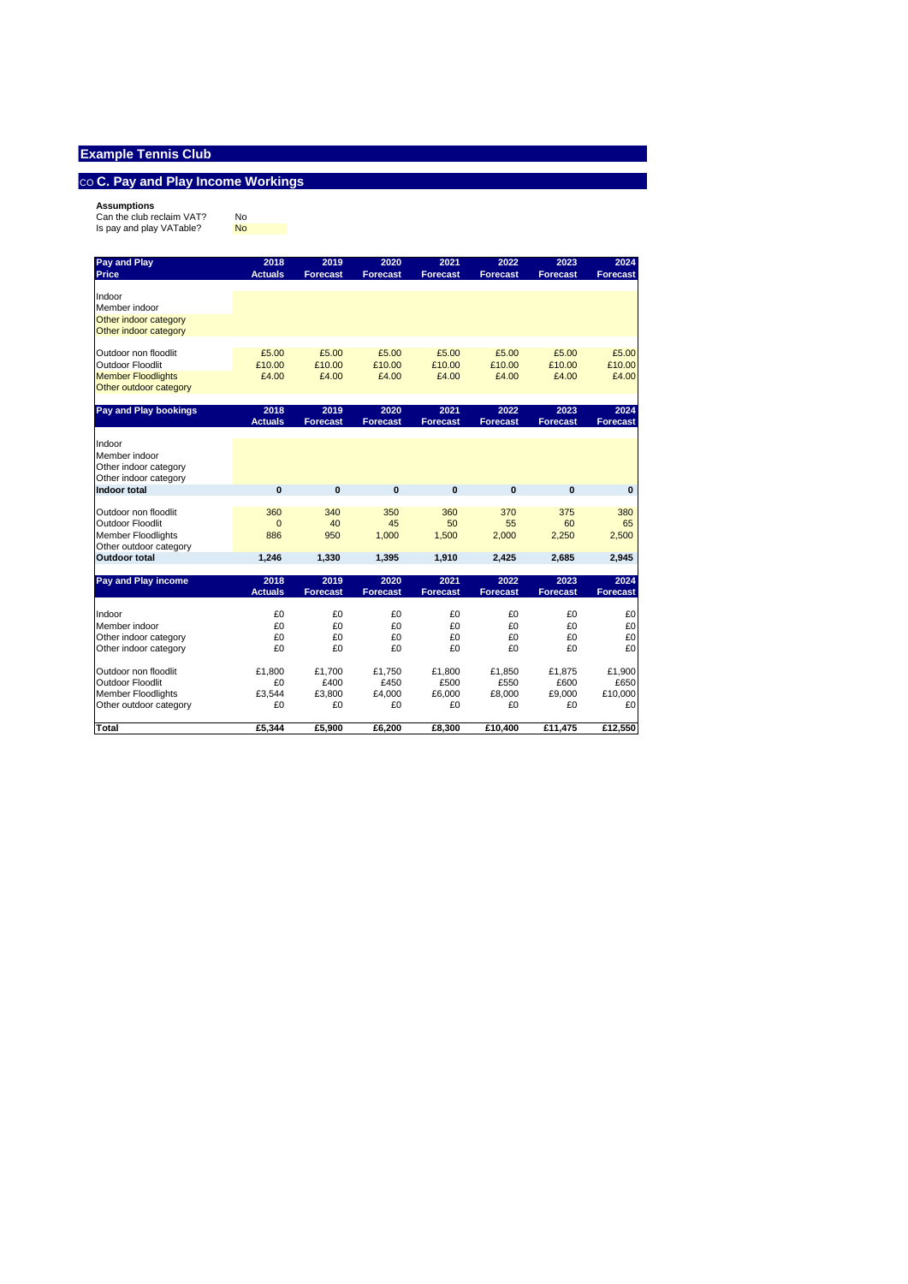# $\cos C$ . Pay and Play Income Workings

**Assumptions**<br>Can the club reclaim VAT? No<br>Is pay and play VATable? <mark>No</mark>

| Pay and Play              | 2018           | 2019            | 2020            | 2021            | 2022            | 2023            | 2024            |
|---------------------------|----------------|-----------------|-----------------|-----------------|-----------------|-----------------|-----------------|
| <b>Price</b>              | <b>Actuals</b> | <b>Forecast</b> | <b>Forecast</b> | <b>Forecast</b> | <b>Forecast</b> | <b>Forecast</b> | <b>Forecast</b> |
| Indoor                    |                |                 |                 |                 |                 |                 |                 |
| Member indoor             |                |                 |                 |                 |                 |                 |                 |
| Other indoor category     |                |                 |                 |                 |                 |                 |                 |
| Other indoor category     |                |                 |                 |                 |                 |                 |                 |
| Outdoor non floodlit      | £5.00          | £5.00           | £5.00           | £5.00           | £5.00           | £5.00           | £5.00           |
| <b>Outdoor Floodlit</b>   | £10.00         | £10.00          | £10.00          | £10.00          | £10.00          | £10.00          | £10.00          |
| <b>Member Floodlights</b> | £4.00          | £4.00           | £4.00           | £4.00           | £4.00           | £4.00           | £4.00           |
| Other outdoor category    |                |                 |                 |                 |                 |                 |                 |
| Pay and Play bookings     | 2018           | 2019            | 2020            | 2021            | 2022            | 2023            | 2024            |
|                           | <b>Actuals</b> | <b>Forecast</b> | <b>Forecast</b> | <b>Forecast</b> | <b>Forecast</b> | <b>Forecast</b> | <b>Forecast</b> |
| Indoor                    |                |                 |                 |                 |                 |                 |                 |
| Member indoor             |                |                 |                 |                 |                 |                 |                 |
| Other indoor category     |                |                 |                 |                 |                 |                 |                 |
| Other indoor category     |                |                 |                 |                 |                 |                 |                 |
| Indoor total              | $\mathbf{0}$   | $\mathbf{0}$    | $\mathbf{0}$    | $\mathbf{0}$    | $\mathbf{0}$    | $\mathbf{0}$    | $\bf{0}$        |
| Outdoor non floodlit      | 360            | 340             | 350             | 360             | 370             | 375             | 380             |
| Outdoor Floodlit          | $\Omega$       | 40              | 45              | 50              | 55              | 60              | 65              |
| <b>Member Floodlights</b> | 886            | 950             | 1.000           | 1.500           | 2.000           | 2.250           | 2,500           |
| Other outdoor category    |                |                 |                 |                 |                 |                 |                 |
| <b>Outdoor total</b>      | 1,246          | 1,330           | 1,395           | 1,910           | 2,425           | 2,685           | 2,945           |
| Pay and Play income       | 2018           | 2019            | 2020            | 2021            | 2022            | 2023            | 2024            |
|                           | <b>Actuals</b> | <b>Forecast</b> | <b>Forecast</b> | <b>Forecast</b> | <b>Forecast</b> | <b>Forecast</b> | <b>Forecast</b> |
| Indoor                    | £O             | £0              | £0              | £0              | £0              | £0              | £0              |
| Member indoor             | £0             | £0              | £0              | £0              | £0              | £0              | £0              |
| Other indoor category     | £0             | £0              | £0              | £0              | £0              | £0              | £0              |
| Other indoor category     | £0             | £0              | £0              | £0              | £0              | £0              | £0              |
| Outdoor non floodlit      | £1.800         | £1.700          | £1,750          | £1,800          | £1.850          | £1.875          | £1,900          |
| <b>Outdoor Floodlit</b>   | £0             | £400            | £450            | £500            | £550            | £600            | £650            |
| <b>Member Floodlights</b> | £3,544         | £3.800          | £4,000          | £6,000          | £8.000          | £9.000          | £10,000         |
| Other outdoor category    | £0             | £0              | £0              | £0              | £0              | £0              | £0              |
| Total                     | £5.344         | £5.900          | £6.200          | £8.300          | £10.400         | £11.475         | £12.550         |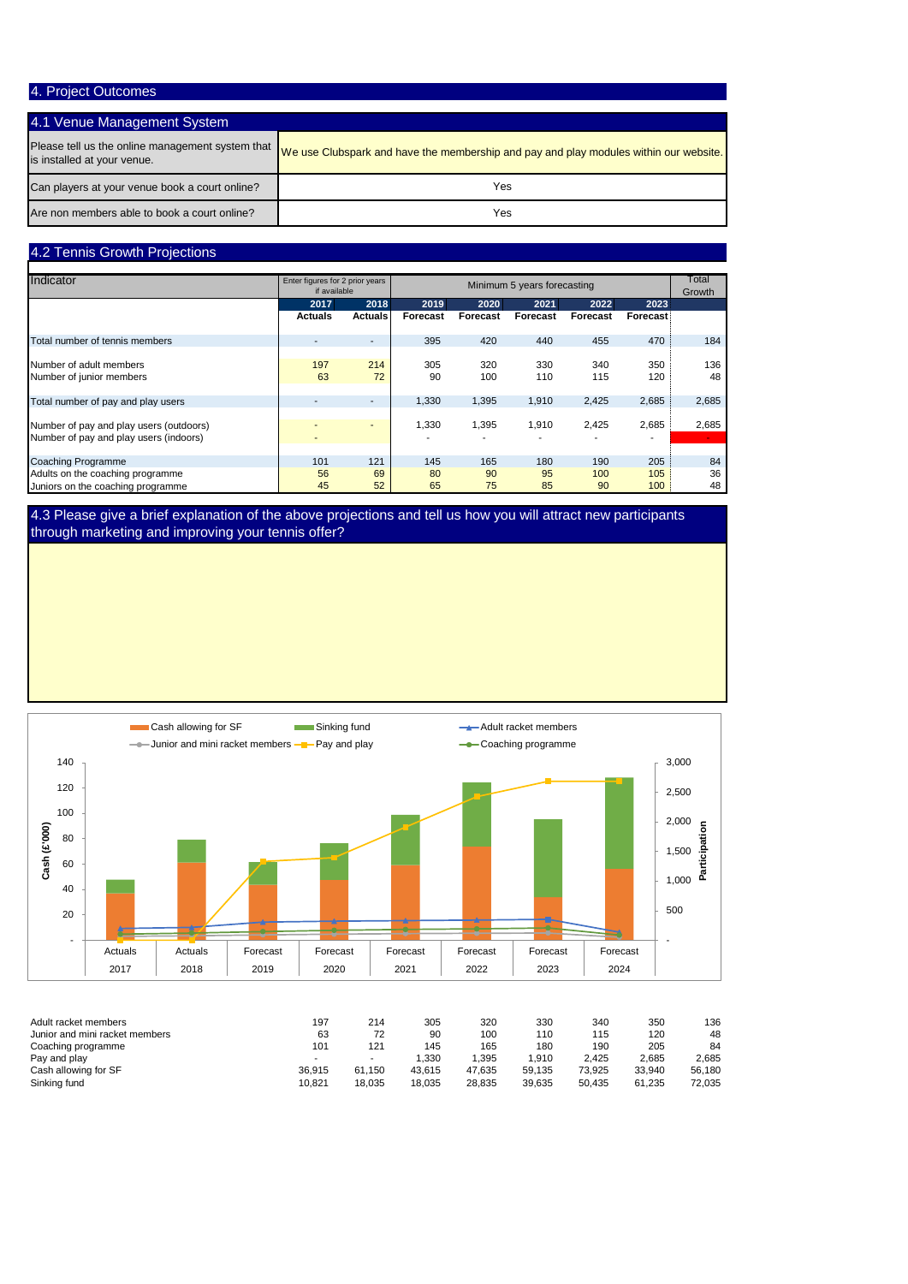## 4. Project Outcomes

## 4.1 Venue Management System

| is installed at your venue.                    | Please tell us the online management system that vertical wear Clubspark and have the membership and pay and play modules within our website. |
|------------------------------------------------|-----------------------------------------------------------------------------------------------------------------------------------------------|
| Can players at your venue book a court online? | Yes                                                                                                                                           |
| Are non members able to book a court online?   | Yes                                                                                                                                           |

## 4.2 Tennis Growth Projections

| Indicator                                                                         |                | Enter figures for 2 prior years<br>if available |           | Minimum 5 years forecasting |            |            |                 |           |  |
|-----------------------------------------------------------------------------------|----------------|-------------------------------------------------|-----------|-----------------------------|------------|------------|-----------------|-----------|--|
|                                                                                   | 2017           | 2018                                            | 2019      | 2020                        | 2021       | 2022       | 2023            |           |  |
|                                                                                   | <b>Actuals</b> | <b>Actuals</b>                                  | Forecast  | Forecast                    | Forecast   | Forecast   | <b>Forecast</b> |           |  |
| Total number of tennis members                                                    |                |                                                 | 395       | 420                         | 440        | 455        | 470             | 184       |  |
| Number of adult members<br>Number of junior members                               | 197<br>63      | 214<br>72                                       | 305<br>90 | 320<br>100                  | 330<br>110 | 340<br>115 | 350<br>120      | 136<br>48 |  |
| Total number of pay and play users                                                |                |                                                 | 1,330     | 1,395                       | 1,910      | 2,425      | 2,685           | 2,685     |  |
| Number of pay and play users (outdoors)<br>Number of pay and play users (indoors) |                |                                                 | 1,330     | 1,395                       | 1,910      | 2,425      | 2,685           | 2,685     |  |
| <b>Coaching Programme</b>                                                         | 101            | 121                                             | 145       | 165                         | 180        | 190        | 205             | 84        |  |
| Adults on the coaching programme<br>Juniors on the coaching programme             | 56<br>45       | 69<br>52                                        | 80<br>65  | 90<br>75                    | 95<br>85   | 100<br>90  | 105<br>100      | 36<br>48  |  |

4.3 Please give a brief explanation of the above projections and tell us how you will attract new participants through marketing and improving your tennis offer?



| Adult racket members           | 197    | 214    | 305    | 320    | 330    | 340    | 350    | 136    |
|--------------------------------|--------|--------|--------|--------|--------|--------|--------|--------|
| Junior and mini racket members | 63     | 72     | 90     | 100    | 110    | 115    | 120    | 48     |
| Coaching programme             | 101    | 121    | 145    | 165    | 180    | 190    | 205    | 84     |
| Pay and play                   |        |        | .330   | .395   | .910   | 2.425  | 2.685  | 2.685  |
| Cash allowing for SF           | 36.915 | 61.150 | 43.615 | 47.635 | 59.135 | 73.925 | 33.940 | 56.180 |
| Sinking fund                   | 10.821 | 18.035 | 18.035 | 28.835 | 39.635 | 50.435 | 61.235 | 72,035 |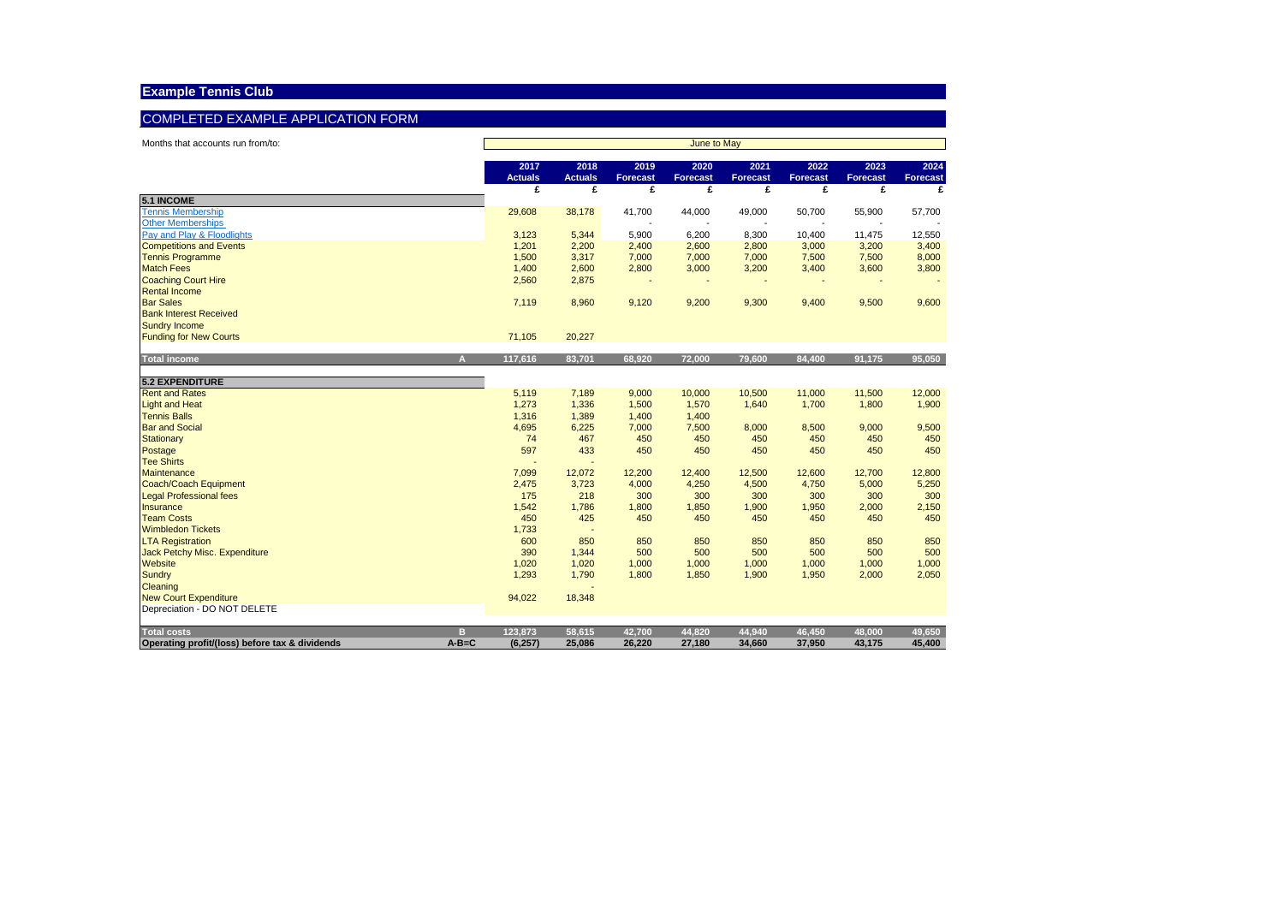## COMPLETED EXAMPLE APPLICATION FORM

| Months that accounts run from/to:                             | June to May            |                        |                         |                         |                  |                  |                  |                         |
|---------------------------------------------------------------|------------------------|------------------------|-------------------------|-------------------------|------------------|------------------|------------------|-------------------------|
|                                                               | 2017<br><b>Actuals</b> | 2018<br><b>Actuals</b> | 2019<br><b>Forecast</b> | 2020<br><b>Forecast</b> | 2021<br>Forecast | 2022<br>Forecast | 2023<br>Forecast | 2024<br><b>Forecast</b> |
|                                                               | £                      | £                      | £                       | £                       | £                | £                | £                |                         |
| <b>5.1 INCOME</b>                                             |                        |                        |                         |                         |                  |                  |                  |                         |
| <b>Tennis Membership</b><br><b>Other Memberships</b>          | 29,608                 | 38,178                 | 41,700                  | 44,000                  | 49,000           | 50,700           | 55,900           | 57,700                  |
| Pay and Play & Floodlights                                    | 3,123                  | 5,344                  | 5,900                   | 6,200                   | 8,300            | 10,400           | 11,475           | 12,550                  |
| <b>Competitions and Events</b>                                | 1,201                  | 2,200                  | 2,400                   | 2,600                   | 2,800            | 3,000            | 3,200            | 3,400                   |
| <b>Tennis Programme</b>                                       | 1,500                  | 3,317                  | 7,000                   | 7,000                   | 7,000            | 7,500            | 7,500            | 8,000                   |
| <b>Match Fees</b>                                             | 1,400                  | 2,600                  | 2,800                   | 3,000                   | 3,200            | 3,400            | 3,600            | 3,800                   |
| <b>Coaching Court Hire</b>                                    | 2,560                  | 2,875                  |                         |                         |                  |                  |                  |                         |
| <b>Rental Income</b>                                          |                        |                        |                         |                         |                  |                  |                  |                         |
| <b>Bar Sales</b>                                              | 7,119                  | 8,960                  | 9,120                   | 9,200                   | 9,300            | 9,400            | 9,500            | 9,600                   |
| <b>Bank Interest Received</b>                                 |                        |                        |                         |                         |                  |                  |                  |                         |
| <b>Sundry Income</b>                                          |                        |                        |                         |                         |                  |                  |                  |                         |
| <b>Funding for New Courts</b>                                 | 71,105                 | 20,227                 |                         |                         |                  |                  |                  |                         |
|                                                               |                        |                        |                         |                         |                  |                  |                  |                         |
| <b>Total income</b><br>A                                      | 117,616                | 83,701                 | 68,920                  | 72,000                  | 79,600           | 84,400           | 91,175           | 95,050                  |
| <b>5.2 EXPENDITURE</b>                                        |                        |                        |                         |                         |                  |                  |                  |                         |
| <b>Rent and Rates</b>                                         | 5,119                  | 7,189                  | 9,000                   | 10,000                  | 10,500           | 11,000           | 11,500           | 12,000                  |
| <b>Light and Heat</b>                                         | 1,273                  | 1,336                  | 1,500                   | 1,570                   | 1,640            | 1,700            | 1,800            | 1,900                   |
| <b>Tennis Balls</b>                                           | 1,316                  | 1,389                  | 1,400                   | 1,400                   |                  |                  |                  |                         |
| <b>Bar and Social</b>                                         | 4,695                  | 6,225                  | 7,000                   | 7,500                   | 8,000            | 8,500            | 9,000            | 9,500                   |
| Stationary                                                    | 74                     | 467                    | 450                     | 450                     | 450              | 450              | 450              | 450                     |
| Postage                                                       | 597                    | 433                    | 450                     | 450                     | 450              | 450              | 450              | 450                     |
| <b>Tee Shirts</b>                                             |                        |                        |                         |                         |                  |                  |                  |                         |
| <b>Maintenance</b>                                            | 7,099                  | 12,072                 | 12,200                  | 12,400                  | 12,500           | 12,600           | 12,700           | 12,800                  |
| Coach/Coach Equipment                                         | 2,475                  | 3,723                  | 4,000                   | 4,250                   | 4,500            | 4,750            | 5,000            | 5,250                   |
| <b>Legal Professional fees</b>                                | 175                    | 218                    | 300                     | 300                     | 300              | 300              | 300              | 300                     |
| Insurance                                                     | 1,542                  | 1,786                  | 1,800                   | 1,850                   | 1,900            | 1,950            | 2,000            | 2,150                   |
| <b>Team Costs</b>                                             | 450                    | 425                    | 450                     | 450                     | 450              | 450              | 450              | 450                     |
| <b>Wimbledon Tickets</b>                                      | 1,733                  |                        |                         |                         |                  |                  |                  |                         |
| <b>LTA Registration</b>                                       | 600                    | 850                    | 850                     | 850                     | 850              | 850              | 850              | 850                     |
| Jack Petchy Misc. Expenditure                                 | 390                    | 1,344                  | 500                     | 500                     | 500              | 500              | 500              | 500                     |
| Website                                                       | 1,020                  | 1,020                  | 1,000                   | 1,000                   | 1,000            | 1,000            | 1,000            | 1,000                   |
| <b>Sundry</b>                                                 | 1,293                  | 1,790                  | 1,800                   | 1,850                   | 1,900            | 1,950            | 2,000            | 2,050                   |
| Cleaning                                                      |                        |                        |                         |                         |                  |                  |                  |                         |
| <b>New Court Expenditure</b><br>Depreciation - DO NOT DELETE  | 94,022                 | 18,348                 |                         |                         |                  |                  |                  |                         |
|                                                               |                        |                        |                         |                         |                  |                  |                  |                         |
| <b>Total costs</b><br>в                                       | 123,873                | 58,615                 | 42.700                  | 44.820                  | 44.940           | 46.450           | 48.000           | 49,650                  |
| $A - B = C$<br>Operating profit/(loss) before tax & dividends | (6, 257)               | 25,086                 | 26,220                  | 27,180                  | 34,660           | 37,950           | 43,175           | 45,400                  |
|                                                               |                        |                        |                         |                         |                  |                  |                  |                         |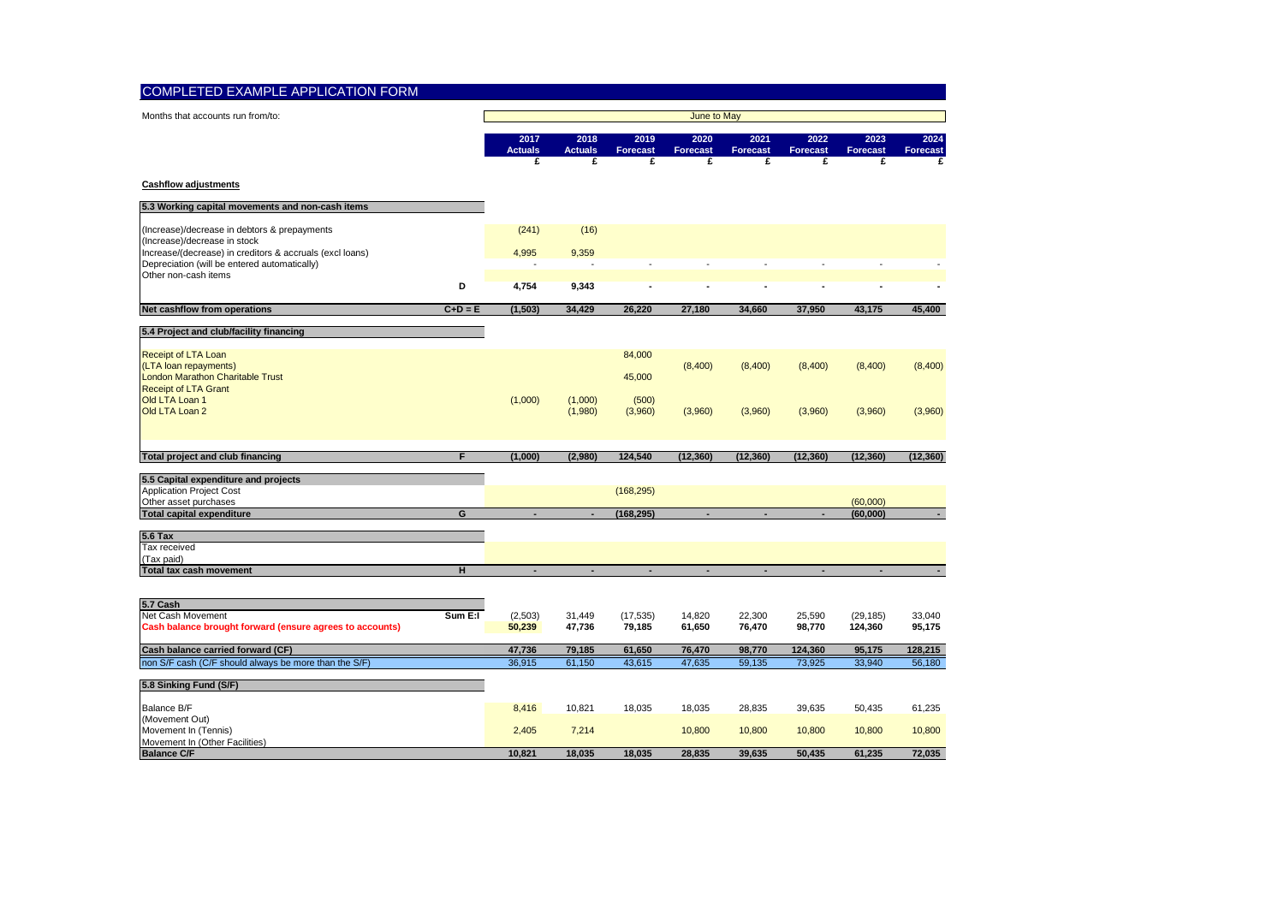| <b>COMPLETED EXAMPLE APPLICATION FORM</b>                                                                |           |                             |                             |                       |                              |                              |                          |                              |                   |  |
|----------------------------------------------------------------------------------------------------------|-----------|-----------------------------|-----------------------------|-----------------------|------------------------------|------------------------------|--------------------------|------------------------------|-------------------|--|
| Months that accounts run from/to:                                                                        |           | <b>June to May</b>          |                             |                       |                              |                              |                          |                              |                   |  |
|                                                                                                          |           | 2017<br><b>Actuals</b><br>£ | 2018<br><b>Actuals</b><br>£ | 2019<br>Forecast<br>£ | 2020<br><b>Forecast</b><br>£ | 2021<br><b>Forecast</b><br>£ | 2022<br>Forecast<br>£    | 2023<br><b>Forecast</b><br>£ | 2024<br>Forecast  |  |
| <b>Cashflow adjustments</b>                                                                              |           |                             |                             |                       |                              |                              |                          |                              |                   |  |
| 5.3 Working capital movements and non-cash items                                                         |           |                             |                             |                       |                              |                              |                          |                              |                   |  |
| (Increase)/decrease in debtors & prepayments<br>(Increase)/decrease in stock                             |           | (241)                       | (16)                        |                       |                              |                              |                          |                              |                   |  |
| Increase/(decrease) in creditors & accruals (excl loans)<br>Depreciation (will be entered automatically) |           | 4,995                       | 9,359                       |                       |                              |                              |                          |                              |                   |  |
| Other non-cash items                                                                                     | D         | 4,754                       | 9,343                       |                       |                              |                              |                          |                              |                   |  |
| Net cashflow from operations                                                                             | $C+D = E$ | (1, 503)                    | 34,429                      | 26.220                | 27,180                       | 34,660                       | 37,950                   | 43,175                       | 45.400            |  |
| 5.4 Project and club/facility financing                                                                  |           |                             |                             |                       |                              |                              |                          |                              |                   |  |
| Receipt of LTA Loan                                                                                      |           |                             |                             | 84,000                |                              |                              |                          |                              |                   |  |
| (LTA loan repayments)<br>London Marathon Charitable Trust                                                |           |                             |                             | 45,000                | (8,400)                      | (8,400)                      | (8,400)                  | (8,400)                      | (8,400)           |  |
| <b>Receipt of LTA Grant</b>                                                                              |           |                             |                             |                       |                              |                              |                          |                              |                   |  |
| Old LTA Loan 1<br>Old LTA Loan 2                                                                         |           | (1,000)                     | (1,000)<br>(1,980)          | (500)<br>(3,960)      | (3,960)                      | (3,960)                      | (3,960)                  | (3,960)                      | (3,960)           |  |
|                                                                                                          |           |                             |                             |                       |                              |                              |                          |                              |                   |  |
| Total project and club financing                                                                         | F         | (1,000)                     | (2,980)                     | 124,540               | (12, 360)                    | (12, 360)                    | (12, 360)                | (12, 360)                    | (12, 360)         |  |
| 5.5 Capital expenditure and projects                                                                     |           |                             |                             |                       |                              |                              |                          |                              |                   |  |
| <b>Application Project Cost</b>                                                                          |           |                             |                             | (168, 295)            |                              |                              |                          |                              |                   |  |
| Other asset purchases<br><b>Total capital expenditure</b>                                                | G         | ٠                           | ٠                           | (168, 295)            | ٠                            |                              | $\overline{\phantom{a}}$ | (60,000)<br>(60,000)         |                   |  |
| <b>5.6 Tax</b>                                                                                           |           |                             |                             |                       |                              |                              |                          |                              |                   |  |
| Tax received                                                                                             |           |                             |                             |                       |                              |                              |                          |                              |                   |  |
| (Tax paid)<br><b>Total tax cash movement</b>                                                             | H         |                             |                             |                       |                              |                              |                          |                              | $\blacksquare$    |  |
|                                                                                                          |           |                             |                             |                       |                              |                              |                          |                              |                   |  |
| 5.7 Cash                                                                                                 |           |                             |                             |                       |                              |                              |                          |                              |                   |  |
| Net Cash Movement<br>Cash balance brought forward (ensure agrees to accounts)                            | Sum E:I   | (2,503)<br>50,239           | 31,449<br>47,736            | (17, 535)<br>79,185   | 14,820<br>61,650             | 22,300<br>76,470             | 25,590<br>98,770         | (29, 185)<br>124,360         | 33,040<br>95,175  |  |
|                                                                                                          |           |                             |                             |                       |                              |                              |                          |                              |                   |  |
| Cash balance carried forward (CF)<br>non S/F cash (C/F should always be more than the S/F)               |           | 47,736<br>36,915            | 79,185<br>61,150            | 61,650<br>43,615      | 76,470<br>47,635             | 98,770<br>59,135             | 124,360<br>73,925        | 95,175<br>33,940             | 128,215<br>56,180 |  |
|                                                                                                          |           |                             |                             |                       |                              |                              |                          |                              |                   |  |
| 5.8 Sinking Fund (S/F)                                                                                   |           |                             |                             |                       |                              |                              |                          |                              |                   |  |
| Balance B/F<br>(Movement Out)                                                                            |           | 8,416                       | 10,821                      | 18,035                | 18,035                       | 28,835                       | 39,635                   | 50,435                       | 61,235            |  |
| Movement In (Tennis)                                                                                     |           | 2,405                       | 7,214                       |                       | 10,800                       | 10,800                       | 10,800                   | 10,800                       | 10,800            |  |
| Movement In (Other Facilities)<br><b>Balance C/F</b>                                                     |           | 10,821                      | 18,035                      | 18,035                | 28,835                       | 39,635                       | 50,435                   | 61,235                       | 72,035            |  |